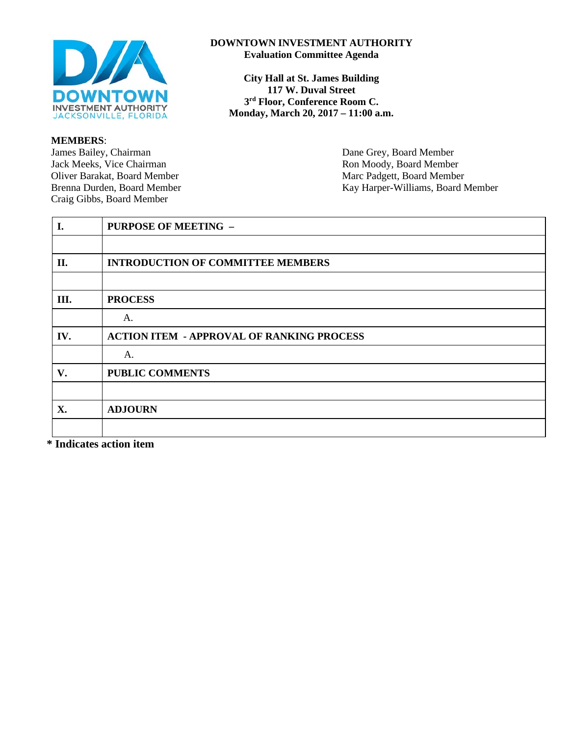

#### **MEMBERS**:

James Bailey, Chairman Dane Grey, Board Member<br>
Jack Meeks, Vice Chairman Ron Moody, Board Member Oliver Barakat, Board Member Craig Gibbs, Board Member

#### **DOWNTOWN INVESTMENT AUTHORITY Evaluation Committee Agenda**

**City Hall at St. James Building 117 W. Duval Street 3rd Floor, Conference Room C. Monday, March 20, 2017 – 11:00 a.m.** 

Ron Moody, Board Member<br>Marc Padgett, Board Member Brenna Durden, Board Member Kay Harper-Williams, Board Member

| I.  | <b>PURPOSE OF MEETING -</b>                      |
|-----|--------------------------------------------------|
|     |                                                  |
| II. | <b>INTRODUCTION OF COMMITTEE MEMBERS</b>         |
|     |                                                  |
| Ш.  | <b>PROCESS</b>                                   |
|     | A.                                               |
| IV. | <b>ACTION ITEM - APPROVAL OF RANKING PROCESS</b> |
|     | A.                                               |
| V.  | PUBLIC COMMENTS                                  |
|     |                                                  |
| X.  | <b>ADJOURN</b>                                   |
|     |                                                  |

**\* Indicates action item**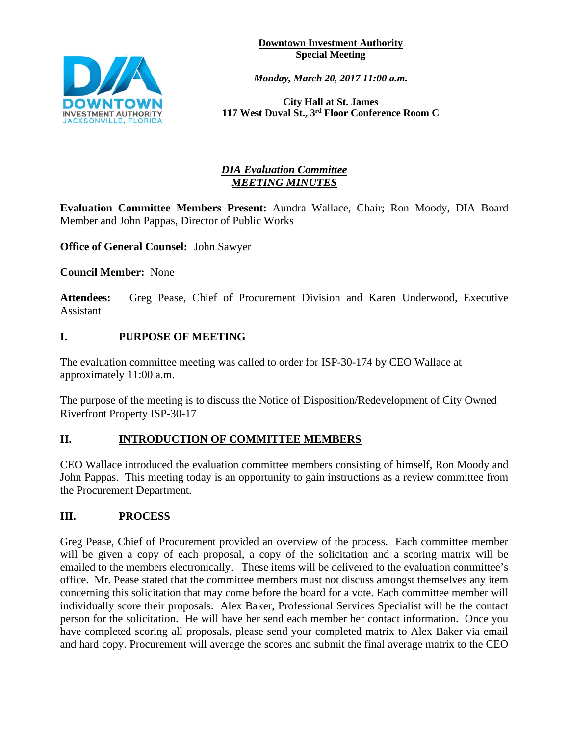**Downtown Investment Authority Special Meeting**



*Monday, March 20, 2017 11:00 a.m.* 

**City Hall at St. James 117 West Duval St., 3rd Floor Conference Room C**

# *DIA Evaluation Committee MEETING MINUTES*

**Evaluation Committee Members Present:** Aundra Wallace, Chair; Ron Moody, DIA Board Member and John Pappas, Director of Public Works

**Office of General Counsel:** John Sawyer

**Council Member:** None

**Attendees:** Greg Pease, Chief of Procurement Division and Karen Underwood, Executive Assistant

## **I. PURPOSE OF MEETING**

The evaluation committee meeting was called to order for ISP-30-174 by CEO Wallace at approximately 11:00 a.m.

The purpose of the meeting is to discuss the Notice of Disposition/Redevelopment of City Owned Riverfront Property ISP-30-17

## **II. INTRODUCTION OF COMMITTEE MEMBERS**

CEO Wallace introduced the evaluation committee members consisting of himself, Ron Moody and John Pappas. This meeting today is an opportunity to gain instructions as a review committee from the Procurement Department.

## **III. PROCESS**

Greg Pease, Chief of Procurement provided an overview of the process. Each committee member will be given a copy of each proposal, a copy of the solicitation and a scoring matrix will be emailed to the members electronically. These items will be delivered to the evaluation committee's office. Mr. Pease stated that the committee members must not discuss amongst themselves any item concerning this solicitation that may come before the board for a vote. Each committee member will individually score their proposals. Alex Baker, Professional Services Specialist will be the contact person for the solicitation. He will have her send each member her contact information. Once you have completed scoring all proposals, please send your completed matrix to Alex Baker via email and hard copy. Procurement will average the scores and submit the final average matrix to the CEO